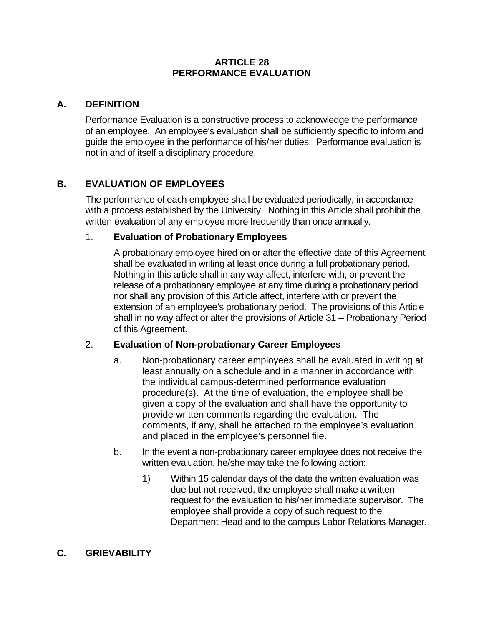#### **ARTICLE 28 PERFORMANCE EVALUATION**

#### **A. DEFINITION**

Performance Evaluation is a constructive process to acknowledge the performance of an employee. An employee's evaluation shall be sufficiently specific to inform and guide the employee in the performance of his/her duties. Performance evaluation is not in and of itself a disciplinary procedure.

# **B. EVALUATION OF EMPLOYEES**

The performance of each employee shall be evaluated periodically, in accordance with a process established by the University. Nothing in this Article shall prohibit the written evaluation of any employee more frequently than once annually.

## 1. **Evaluation of Probationary Employees**

A probationary employee hired on or after the effective date of this Agreement shall be evaluated in writing at least once during a full probationary period. Nothing in this article shall in any way affect, interfere with, or prevent the release of a probationary employee at any time during a probationary period nor shall any provision of this Article affect, interfere with or prevent the extension of an employee's probationary period. The provisions of this Article shall in no way affect or alter the provisions of Article 31 – Probationary Period of this Agreement.

## 2. **Evaluation of Non-probationary Career Employees**

- a. Non-probationary career employees shall be evaluated in writing at least annually on a schedule and in a manner in accordance with the individual campus-determined performance evaluation procedure(s). At the time of evaluation, the employee shall be given a copy of the evaluation and shall have the opportunity to provide written comments regarding the evaluation. The comments, if any, shall be attached to the employee's evaluation and placed in the employee's personnel file.
- b. In the event a non-probationary career employee does not receive the written evaluation, he/she may take the following action:
	- 1) Within 15 calendar days of the date the written evaluation was due but not received, the employee shall make a written request for the evaluation to his/her immediate supervisor. The employee shall provide a copy of such request to the Department Head and to the campus Labor Relations Manager.

## **C. GRIEVABILITY**